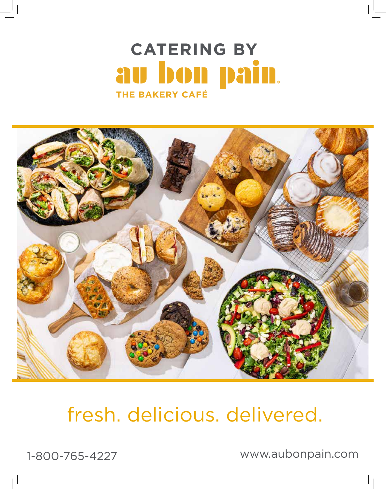## **CATERING BY**u bon pain. al THE BAKERY CAFÉ



# fresh. delicious. delivered.

1-800-765-4227 www.aubonpain.com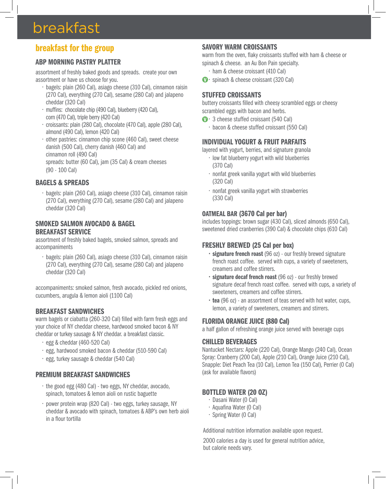## breakfast

### breakfast for the group

#### ABP MORNING PASTRY PLATTER

assortment of freshly baked goods and spreads. create your own assortment or have us choose for you.

- bagels: plain (260 Cal), asiago cheese (310 Cal), cinnamon raisin (270 Cal), everything (270 Cal), sesame (280 Cal) and jalapeno cheddar (320 Cal)
- muffins: chocolate chip (490 Cal), blueberry (420 Cal), corn (470 Cal), triple berry (420 Cal)
- croissants: plain (280 Cal), chocolate (470 Cal), apple (280 Cal), almond (490 Cal), lemon (420 Cal)
- other pastries: cinnamon chip scone (460 Cal), sweet cheese danish (500 Cal), cherry danish (460 Cal) and cinnamon roll (490 Cal) spreads: butter (60 Cal), jam (35 Cal) & cream cheeses (90 - 100 Cal)

#### BAGELS & SPREADS

• bagels: plain (260 Cal), asiago cheese (310 Cal), cinnamon raisin (270 Cal), everything (270 Cal), sesame (280 Cal) and jalapeno cheddar (320 Cal)

#### SMOKED SALMON AVOCADO & BAGEL BREAKFAST SERVICE

assortment of freshly baked bagels, smoked salmon, spreads and accompaniments

• bagels: plain (260 Cal), asiago cheese (310 Cal), cinnamon raisin (270 Cal), everything (270 Cal), sesame (280 Cal) and jalapeno cheddar (320 Cal)

accompaniments: smoked salmon, fresh avocado, pickled red onions, cucumbers, arugula & lemon aioli (1100 Cal)

#### BREAKFAST SANDWICHES

warm bagels or ciabatta (260-320 Cal) filled with farm fresh eggs and your choice of NY cheddar cheese, hardwood smoked bacon & NY cheddar or turkey sausage & NY cheddar. a breakfast classic.

- egg & cheddar (460-520 Cal)
- egg, hardwood smoked bacon & cheddar (510-590 Cal)
- egg, turkey sausage & cheddar (540 Cal)

#### PREMIUM BREAKFAST SANDWICHES

- the good egg (480 Cal) two eggs, NY cheddar, avocado, spinach, tomatoes & lemon aioli on rustic baguette
- power protein wrap (820 Cal) two eggs, turkey sausage, NY cheddar & avocado with spinach, tomatoes & ABP's own herb aioli in a flour tortilla

#### SAVORY WARM CROISSANTS

warm from the oven, flaky croissants stuffed with ham & cheese or spinach & cheese. an Au Bon Pain specialty.

- ham & cheese croissant (410 Cal)
- **1** · spinach & cheese croissant (320 Cal)

#### STUFFED CROISSANTS

buttery croissants filled with cheesy scrambled eggs or cheesy scrambled eggs with bacon and herbs.

- **1** · 3 cheese stuffed croissant (540 Cal)
	- bacon & cheese stuffed croissant (550 Cal)

#### INDIVIDUAL YOGURT & FRUIT PARFAITS

layered with yogurt, berries, and signature granola

- low fat blueberry yogurt with wild blueberries (370 Cal)
- nonfat greek vanilla yogurt with wild blueberries (320 Cal)
- nonfat greek vanilla yogurt with strawberries (330 Cal)

#### OATMEAL BAR (3670 Cal per bar)

includes toppings: brown sugar (430 Cal), sliced almonds (650 Cal), sweetened dried cranberries (390 Cal) & chocolate chips (610 Cal)

#### FRESHLY BREWED (25 Cal per box)

- signature french roast (96 oz) our freshly brewed signature french roast coffee. served with cups, a variety of sweeteners, creamers and coffee stirrers.
- signature decaf french roast (96 oz) our freshly brewed signature decaf french roast coffee. served with cups, a variety of sweeteners, creamers and coffee stirrers.
- tea (96 oz) an assortment of teas served with hot water, cups, lemon, a variety of sweeteners, creamers and stirrers.

#### FLORIDA ORANGE JUICE (880 Cal)

a half gallon of refreshing orange juice served with beverage cups

#### CHILLED BEVERAGES

Nantucket Nectars: Apple (220 Cal), Orange Mango (240 Cal), Ocean Spray: Cranberry (200 Cal), Apple (210 Cal), Orange Juice (210 Cal), Snapple: Diet Peach Tea (10 Cal), Lemon Tea (150 Cal), Perrier (0 Cal) (ask for available flavors)

#### BOTTLED WATER (20 OZ)

- Dasani Water (0 Cal)
- Aquafina Water (0 Cal)
- Spring Water (0 Cal)

Additional nutrition information available upon request.

2000 calories a day is used for general nutrition advice, but calorie needs vary.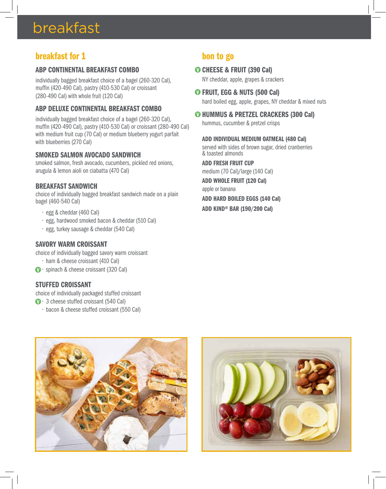## breakfast

### breakfast for 1

#### ABP CONTINENTAL BREAKFAST COMBO

individually bagged breakfast choice of a bagel (260-320 Cal), muffin (420-490 Cal), pastry (410-530 Cal) or croissant (280-490 Cal) with whole fruit (120 Cal)

#### ABP DELUXE CONTINENTAL BREAKFAST COMBO

individually bagged breakfast choice of a bagel (260-320 Cal), muffin (420-490 Cal), pastry (410-530 Cal) or croissant (280-490 Cal) with medium fruit cup (70 Cal) or medium blueberry yogurt parfait with blueberries (270 Cal)

#### SMOKED SALMON AVOCADO SANDWICH

smoked salmon, fresh avocado, cucumbers, pickled red onions, arugula & lemon aioli on ciabatta (470 Cal)

#### BREAKFAST SANDWICH

choice of individually bagged breakfast sandwich made on a plain bagel (460-540 Cal)

- egg & cheddar (460 Cal)
- egg, hardwood smoked bacon & cheddar (510 Cal)
- egg, turkey sausage & cheddar (540 Cal)

#### SAVORY WARM CROISSANT

choice of individually bagged savory warm croissant

- ham & cheese croissant (410 Cal)
- **1** · spinach & cheese croissant (320 Cal)

#### STUFFED CROISSANT

choice of individually packaged stuffed croissant

- **0** · 3 cheese stuffed croissant (540 Cal)
	- bacon & cheese stuffed croissant (550 Cal)

### bon to go

#### **O CHEESE & FRUIT (390 Cal)**

NY cheddar, apple, grapes & crackers

FRUIT, EGG & NUTS (500 Cal) hard boiled egg, apple, grapes, NY cheddar & mixed nuts

#### **O HUMMUS & PRETZEL CRACKERS (300 Cal)**

hummus, cucumber & pretzel crisps

ADD INDIVIDUAL MEDIUM OATMEAL (480 Cal) served with sides of brown sugar, dried cranberries & toasted almonds

ADD FRESH FRUIT CUP

medium (70 Cal)/large (140 Cal) ADD WHOLE FRUIT (120 Cal)

apple or banana

#### ADD HARD BOILED EGGS (140 Cal)

ADD KIND® BAR (190/200 Cal)



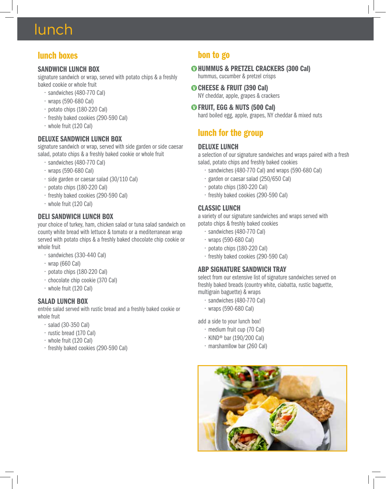## lunch

### lunch boxes

#### SANDWICH LUNCH BOX

signature sandwich or wrap, served with potato chips & a freshly baked cookie or whole fruit

- sandwiches (480-770 Cal)
- wraps (590-680 Cal)
- potato chips (180-220 Cal)
- freshly baked cookies (290-590 Cal)
- whole fruit (120 Cal)

#### DELUXE SANDWICH LUNCH BOX

signature sandwich or wrap, served with side garden or side caesar salad, potato chips & a freshly baked cookie or whole fruit

- sandwiches (480-770 Cal)
- wraps (590-680 Cal)
- side garden or caesar salad (30/110 Cal)
- potato chips (180-220 Cal)
- freshly baked cookies (290-590 Cal)
- whole fruit (120 Cal)

### DELI SANDWICH LUNCH BOX

your choice of turkey, ham, chicken salad or tuna salad sandwich on county white bread with lettuce & tomato or a mediterranean wrap served with potato chips & a freshly baked chocolate chip cookie or whole fruit

- sandwiches (330-440 Cal)
- wrap (660 Cal)
- potato chips (180-220 Cal)
- chocolate chip cookie (370 Cal)
- whole fruit (120 Cal)

#### SALAD LUNCH BOX

entrée salad served with rustic bread and a freshly baked cookie or whole fruit

- salad (30-350 Cal)
- rustic bread (170 Cal)
- whole fruit (120 Cal)
- freshly baked cookies (290-590 Cal)

### bon to go

- **<sup>O</sup>HUMMUS & PRETZEL CRACKERS (300 Cal)** hummus, cucumber & pretzel crisps
- **O CHEESE & FRUIT (390 Cal)** NY cheddar, apple, grapes & crackers
- FRUIT, EGG & NUTS (500 Cal) hard boiled egg, apple, grapes, NY cheddar & mixed nuts

## lunch for the group

#### DELUXE LUNCH

a selection of our signature sandwiches and wraps paired with a fresh salad, potato chips and freshly baked cookies

- sandwiches (480-770 Cal) and wraps (590-680 Cal)
- garden or caesar salad (250/650 Cal)
- potato chips (180-220 Cal)
- freshly baked cookies (290-590 Cal)

#### CLASSIC LUNCH

a variety of our signature sandwiches and wraps served with potato chips & freshly baked cookies

- sandwiches (480-770 Cal)
- wraps (590-680 Cal)
- potato chips (180-220 Cal)
- freshly baked cookies (290-590 Cal)

#### ABP SIGNATURE SANDWICH TRAY

select from our extensive list of signature sandwiches served on freshly baked breads (country white, ciabatta, rustic baguette, multigrain baguette) & wraps

- sandwiches (480-770 Cal)
- wraps (590-680 Cal)

add a side to your lunch box!

- medium fruit cup (70 Cal)
- KIND® bar (190/200 Cal)
- marshamllow bar (260 Cal)

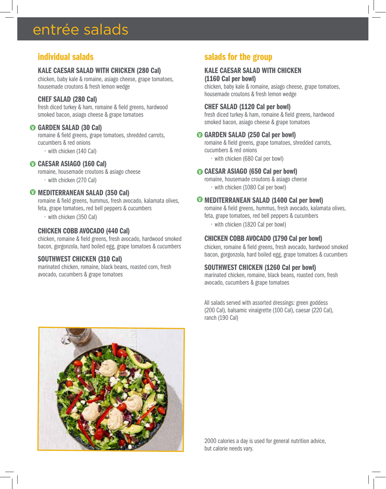## entrée salads

### individual salads

#### KALE CAESAR SALAD WITH CHICKEN (280 Cal)

chicken, baby kale & romaine, asiago cheese, grape tomatoes, housemade croutons & fresh lemon wedge

#### CHEF SALAD (280 Cal)

fresh diced turkey & ham, romaine & field greens, hardwood smoked bacon, asiago cheese & grape tomatoes

#### GARDEN SALAD (30 Cal)

romaine & field greens, grape tomatoes, shredded carrots, cucumbers & red onions

• with chicken (140 Cal)

#### CAESAR ASIAGO (160 Cal)

romaine, housemade croutons & asiago cheese • with chicken (270 Cal)

#### **W** MEDITERRANEAN SALAD (350 Cal)

romaine & field greens, hummus, fresh avocado, kalamata olives, feta, grape tomatoes, red bell peppers & cucumbers

• with chicken (350 Cal)

#### CHICKEN COBB AVOCADO (440 Cal)

chicken, romaine & field greens, fresh avocado, hardwood smoked bacon, gorgonzola, hard boiled egg, grape tomatoes & cucumbers

#### SOUTHWEST CHICKEN (310 Cal)

marinated chicken, romaine, black beans, roasted corn, fresh avocado, cucumbers & grape tomatoes

### salads for the group

### KALE CAESAR SALAD WITH CHICKEN

(1160 Cal per bowl) chicken, baby kale & romaine, asiago cheese, grape tomatoes, housemade croutons & fresh lemon wedge

#### CHEF SALAD (1120 Cal per bowl)

fresh diced turkey & ham, romaine & field greens, hardwood smoked bacon, asiago cheese & grape tomatoes

#### GARDEN SALAD (250 Cal per bowl)

romaine & field greens, grape tomatoes, shredded carrots, cucumbers & red onions

• with chicken (680 Cal per bowl)

#### CAESAR ASIAGO (650 Cal per bowl)

romaine, housemade croutons & asiago cheese • with chicken (1080 Cal per bowl)

#### MEDITERRANEAN SALAD (1400 Cal per bowl)

romaine & field greens, hummus, fresh avocado, kalamata olives, feta, grape tomatoes, red bell peppers & cucumbers

• with chicken (1820 Cal per bowl)

#### CHICKEN COBB AVOCADO (1790 Cal per bowl)

chicken, romaine & field greens, fresh avocado, hardwood smoked bacon, gorgonzola, hard boiled egg, grape tomatoes & cucumbers

#### SOUTHWEST CHICKEN (1260 Cal per bowl)

marinated chicken, romaine, black beans, roasted corn, fresh avocado, cucumbers & grape tomatoes

All salads served with assorted dressings: green goddess (200 Cal), balsamic vinaigrette (100 Cal), caesar (220 Cal), ranch (190 Cal)



2000 calories a day is used for general nutrition advice, but calorie needs vary.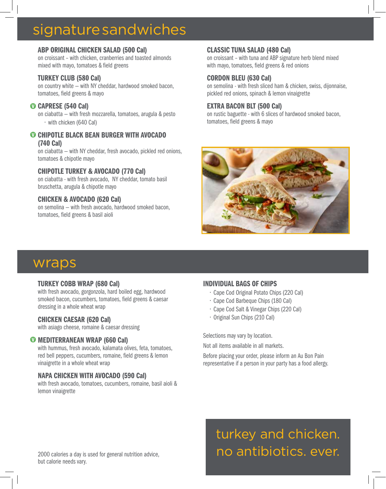## signature sandwiches

#### ABP ORIGINAL CHICKEN SALAD (500 Cal)

on croissant – with chicken, cranberries and toasted almonds mixed with mayo, tomatoes & field greens

#### TURKEY CLUB (580 Cal)

on country white — with NY cheddar, hardwood smoked bacon, tomatoes, field greens & mayo

#### CAPRESE (540 Cal)

on ciabatta — with fresh mozzarella, tomatoes, arugula & pesto • with chicken (640 Cal)

#### **O CHIPOTLE BLACK BEAN BURGER WITH AVOCADO** (740 Cal)

on ciabatta — with NY cheddar, fresh avocado, pickled red onions, tomatoes & chipotle mayo

#### CHIPOTLE TURKEY & AVOCADO (770 Cal)

on ciabatta - with fresh avocado, NY cheddar, tomato basil bruschetta, arugula & chipotle mayo

#### CHICKEN & AVOCADO (620 Cal)

on semolina — with fresh avocado, hardwood smoked bacon, tomatoes, field greens & basil aioli

#### CLASSIC TUNA SALAD (480 Cal)

on croissant – with tuna and ABP signature herb blend mixed with mayo, tomatoes, field greens & red onions

#### CORDON BLEU (630 Cal)

on semolina - with fresh sliced ham & chicken, swiss, dijonnaise, pickled red onions, spinach & lemon vinaigrette

#### EXTRA BACON BLT (500 Cal)

on rustic baguette - with 6 slices of hardwood smoked bacon, tomatoes, field greens & mayo



## wraps

#### TURKEY COBB WRAP (680 Cal)

with fresh avocado, gorgonzola, hard boiled egg, hardwood smoked bacon, cucumbers, tomatoes, field greens & caesar dressing in a whole wheat wrap

#### CHICKEN CAESAR (620 Cal)

with asiago cheese, romaine & caesar dressing

#### **W** MEDITERRANEAN WRAP (660 Cal)

with hummus, fresh avocado, kalamata olives, feta, tomatoes, red bell peppers, cucumbers, romaine, field greens & lemon vinaigrette in a whole wheat wrap

#### NAPA CHICKEN WITH AVOCADO (590 Cal)

with fresh avocado, tomatoes, cucumbers, romaine, basil aioli & lemon vinaigrette

#### INDIVIDUAL BAGS OF CHIPS

- Cape Cod Original Potato Chips (220 Cal)
- Cape Cod Barbeque Chips (180 Cal)
- Cape Cod Salt & Vinegar Chips (220 Cal)
- Original Sun Chips (210 Cal)

Selections may vary by location.

Not all items available in all markets.

Before placing your order, please inform an Au Bon Pain representative if a person in your party has a food allergy.

turkey and chicken. no antibiotics. ever.

2000 calories a day is used for general nutrition advice, but calorie needs vary.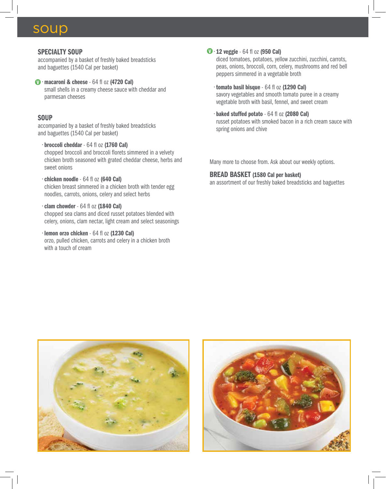### soup

#### SPECIALTY SOUP

accompanied by a basket of freshly baked breadsticks and baguettes (1540 Cal per basket)

#### **1** macaroni & cheese - 64 fl oz (4720 Cal) small shells in a creamy cheese sauce with cheddar and parmesan cheeses

#### **SOUP**

accompanied by a basket of freshly baked breadsticks and baguettes (1540 Cal per basket)

- broccoli cheddar 64 fl oz (1760 Cal) chopped broccoli and broccoli florets simmered in a velvety chicken broth seasoned with grated cheddar cheese, herbs and sweet onions
- chicken noodle 64 fl oz (640 Cal) chicken breast simmered in a chicken broth with tender egg noodles, carrots, onions, celery and select herbs
- clam chowder 64 fl oz (1840 Cal) chopped sea clams and diced russet potatoes blended with celery, onions, clam nectar, light cream and select seasonings
- lemon orzo chicken 64 fl oz (1230 Cal) orzo, pulled chicken, carrots and celery in a chicken broth with a touch of cream

#### $\mathbf{V} \cdot \mathbf{12}$  veggie - 64 fl oz (950 Cal)

diced tomatoes, potatoes, yellow zucchini, zucchini, carrots, peas, onions, broccoli, corn, celery, mushrooms and red bell peppers simmered in a vegetable broth

- tomato basil bisque 64 fl oz (1290 Cal) savory vegetables and smooth tomato puree in a creamy vegetable broth with basil, fennel, and sweet cream
- baked stuffed potato 64 fl oz (2080 Cal) russet potatoes with smoked bacon in a rich cream sauce with spring onions and chive

Many more to choose from. Ask about our weekly options.

#### BREAD BASKET (1580 Cal per basket)

an assortment of our freshly baked breadsticks and baguettes